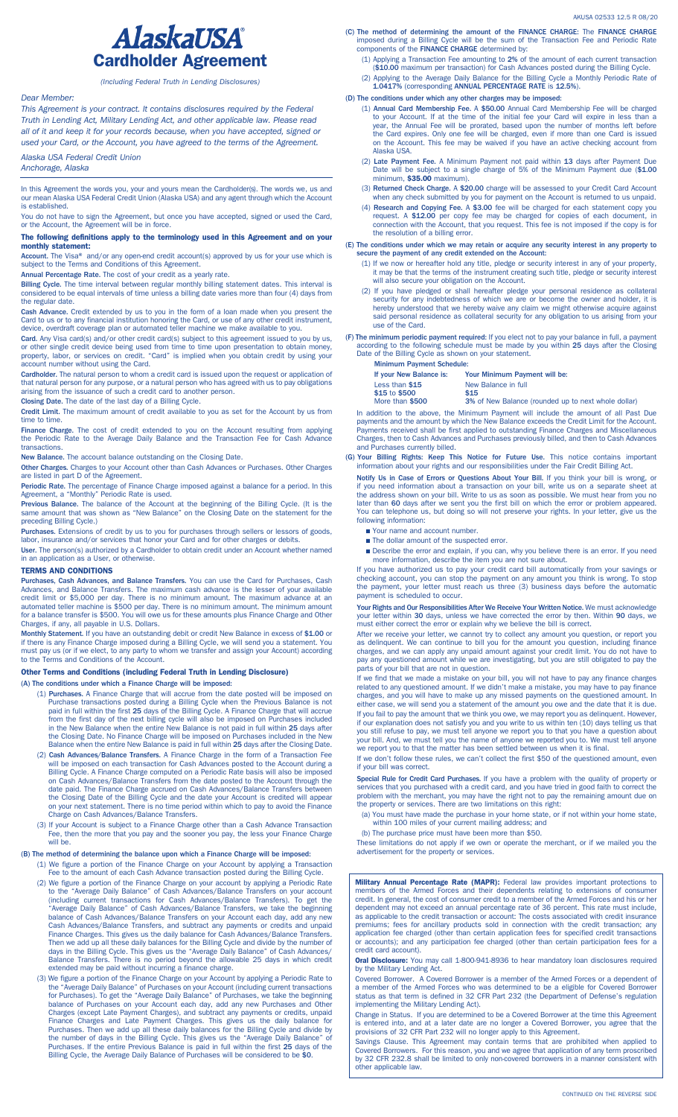

*(Including Federal Truth in Lending Disclosures)*

## *Dear Member:*

*This Agreement is your contract. It contains disclosures required by the Federal Truth in Lending Act, Military Lending Act, and other applicable law. Please read all of it and keep it for your records because, when you have accepted, signed or used your Card, or the Account, you have agreed to the terms of the Agreement.*

*Alaska USA Federal Credit Union*

*Anchorage, Alaska*

In this Agreement the words you, your and yours mean the Cardholder(s). The words we, us and our mean Alaska USA Federal Credit Union (Alaska USA) and any agent through which the Account is established.

You do not have to sign the Agreement, but once you have accepted, signed or used the Card, or the Account, the Agreement will be in force.

#### The following definitions apply to the terminology used in this Agreement and on your monthly statement:

Account. The Visa® and/or any open-end credit account(s) approved by us for your use which is subject to the Terms and Conditions of this Agreement.

Annual Percentage Rate. The cost of your credit as a yearly rate.

Billing Cycle. The time interval between regular monthly billing statement dates. This interval is considered to be equal intervals of time unless a billing date varies more than four (4) days from the regular date.

Cash Advance. Credit extended by us to you in the form of a loan made when you present the<br>Card to us or to any financial institution honoring the Card, or use of any other credit instrument,<br>device, overdraft coverage pla

Card. Any Visa card(s) and/or other credit card(s) subject to this agreement issued to you by us,<br>or other single credit device being used from time to time upon presentation to obtain money,<br>property, labor, or services o account number without using the Card.

Cardholder. The natural person to whom a credit card is issued upon the request or application of<br>that natural person for any purpose, or a natural person who has agreed with us to pay obligations<br>arising from the issuance

Closing Date. The date of the last day of a Billing Cycle.

Credit Limit. The maximum amount of credit available to you as set for the Account by us from time to time.

Finance Charge. The cost of credit extended to you on the Account resulting from applying the Periodic Rate to the Average Daily Balance and the Transaction Fee for Cash Advance transactions.

New Balance. The account balance outstanding on the Closing Date.

Other Charges. Charges to your Account other than Cash Advances or Purchases. Other Charges are listed in part D of the Agreement.

Periodic Rate. The percentage of Finance Charge imposed against a balance for a period. In this (period) retain<br>Agreement, a "Monthly" Periodic Rate is used.

Previous Balance. The balance of the Account at the beginning of the Billing Cycle. (It is the same amount that was shown as "New Balance" on the Closing Date on the statement for the preceding Billing Cycle.)

Purchases. Extensions of credit by us to you for purchases through sellers or lessors of goods,<br>labor, insurance and/or services that honor your Card and for other charges or debits.

User. The person(s) authorized by a Cardholder to obtain credit under an Account whether named in an application as a User, or otherwise.

### TERMS AND CONDITIONS

Purchases, Cash Advances, and Balance Transfers. You can use the Card for Purchases, Cash Advances, and Balance Transfers. The maximum cash advance is the lesser of your available<br>credit limit or \$5,000 per day. There is no minimum amount. The maximum advance at an<br>automated teller machine is \$500 per day. Ther Charges, if any, all payable in U.S. Dollars.

Monthly Statement. If you have an outstanding debit or credit New Balance in excess of \$1.00 or if there is any Finance Charge imposed during a Billing Cycle, we will send you a statement. You<br>must pay us (or if we elect, to any party to whom we transfer and assign your Account) according<br>to the Terms and Conditions

## Other Terms and Conditions (including Federal Truth in Lending Disclosure)

(A) The conditions under which a Finance Charge will be imposed:

- (1) Purchases. A Finance Charge that will accrue from the date posted will be imposed on Purchase transactions posted during a Billing Cycle when the Previous Balance is not<br>paid in full within the first 25 days of the Billing Cycle. A Finance Charge that will accrue<br>from the first day of the next billing cycl the Closing Date. No Finance Charge will be imposed on Purchases included in the New Balance when the entire New Balance is paid in full within 25 days after the Closing Date.
- (2) Cash Advances/Balance Transfers. A Finance Charge in the form of a Transaction Fee will be imposed on each transaction for Cash Advances posted to the Account during a Billing Cycle. A Finance Charge computed on a Peri on Cash Advances/Balance Transfers from the date posted to the Account through the<br>date paid. The Finance Charge accrued on Cash Advances/Balance Transfers between<br>the Closing Date of the Billing Cycle and the date your Ac Charge on Cash Advances/Balance Transfers.
- (3) If your Account is subject to a Finance Charge other than a Cash Advance Transaction Fee, then the more that you pay and the sooner you pay, the less your Finance Charge will be.

#### (B) The method of determining the balance upon which a Finance Charge will be imposed:

(1) We figure a portion of the Finance Charge on your Account by applying a Transaction Fee to the amount of each Cash Advance transaction posted during the Billing Cycle.

- (2) We figure a portion of the Finance Charge on your account by applying a Periodic Rate to the "Average Daily Balance" of Cash Advances/Balance Transfers on your account (including current transactions for Cash Advances/Balance Transfers). To get the "Average Daily Balance" of Cash Advances/Balance Transfers, we take the beginning balance of Cash Advances/Balance Transfers on your Account each day, add any new Cash Advances/Balance Transfers, and subtract any payments or credits and unpaid Finance Charges. This gives us the daily balance for Cash Ad
- (3) We figure a portion of the Finance Charge on your Account by applying a Periodic Rate to<br>the "Average Daily Balance" of Purchases on your Account (including current transactions<br>for Purchases). To get the "Average Dail
- (C) The method of determining the amount of the FINANCE CHARGE: The FINANCE CHARGE imposed during a Billing Cycle will be the sum of the Transaction Fee and Periodic Rate components of the FINANCE CHARGE determined by:
	- (1) Applying a Transaction Fee amounting to 2% of the amount of each current transaction (\$10.00 maximum per transaction) for Cash Advances posted during the Billing Cycle.
	- (2) Applying to the Average Daily Balance for the Billing Cycle a Monthly Periodic Rate of 1.0417% (corresponding ANNUAL PERCENTAGE RATE is 12.5%).

#### (D) The conditions under which any other charges may be imposed:

- (1) **Annual Card Membership Fee.** A \$50.00 Annual Card Membership Fee will be charged to your Account. If at the time of the initial fee your Card will expire in less than a year, the Annual Fee will be prorated, based upo Alaska USA.
- (2) Late Payment Fee. A Minimum Payment not paid within 13 days after Payment Due Date will be subject to a single charge of 5% of the Minimum Payment due (\$1.00<br>minimum, \$35.00 maximum).
- (3) Returned Check Charge. A \$20.00 charge will be assessed to your Credit Card Account when any check submitted by you for payment on the Account is returned to us unpaid.
- (4) Research and Copying Fee. A \$3.00 fee will be charged for each statement copy you request. A \$12.00 per copy fee may be charged for copies of each document, in connection with the Account, that you request. This fee is the resolution of a billing error.

# (E) The conditions under which we may retain or acquire any security interest in any property to secure the payment of any credit extended on the Account:

- (1) If we now or hereafter hold any title, pledge or security interest in any of your property, it may be that the terms of the instrument creating such title, pledge or security interest will also secure your obligation on the Account.
- (2) If you have pledged or shall hereafter pledge your personal residence as collateral security for any indebtedness of which we are or become the owner and holder, it is<br>hereby understood that we hereby waive any claim we might otherwise acquire against<br>said personal residence as collateral security for any
- (F) The minimum periodic payment required: If you elect not to pay your balance in full, a payment according to the following schedule must be made by you within 25 days after the Closing Date of the Billing Cycle as shown

| <b>Minimum Payment Schedule:</b> |                                                     |
|----------------------------------|-----------------------------------------------------|
| If your New Balance is:          | <b>Your Minimum Payment will be:</b>                |
| Less than \$15                   | New Balance in full                                 |
| \$15 to \$500                    | \$15                                                |
| More than \$500                  | 3% of New Balance (rounded up to next whole dollar) |

In addition to the above, the Minimum Payment will include the amount of all Past Due payments and the amount by which the New Balance exceeds the Credit Limit for the Account. .<br>Payments received shall be first applied to outstanding Finance Charges and Miscellaneous<br>Charges, then to Cash Advances and Purchases previously billed, and then to Cash Advances Charges, then to Cash Advances and Purchases previously billed, and then to Cash Advances and Purchases currently billed.

(G) Your Billing Rights: Keep This Notice for Future Use. This notice contains important information about your rights and our responsibilities under the Fair Credit Billing Act.

Notify Us in Case of Errors or Questions About Your Bill. If you think your bill is wrong, or if you need information about a transaction on your bill, write us on a separate sheet at<br>the address shown on your bill. Write to us as soon as possible. We must hear from you no<br>later than 60 days after we sent you the f following information:

- Nour name and account number.
- The dollar amount of the suspected error.
- **n** Describe the error and explain, if you can, why you believe there is an error. If you need more information, describe the item you are not sure about.

If you have authorized us to pay your credit card bill automatically from your savings or<br>checking account, you can stop the payment on any amount you think is wrong. To stop<br>the payment, your letter must reach us three (3 payment is scheduled to occur.

Your Rights and Our Responsibilities After We Receive Your Written Notice. We must acknowledge your letter within 30 days, unless we have corrected the error by then. Within 90 days, we must either correct the error or explain why we believe the bill is correct.

After we receive your letter, we cannot try to collect any amount you question, or report you<br>as delinquent. We can continue to bill you for the amount you question, including finance<br>charges, and we can apply any unpaid a parts of your bill that are not in question.

If we find that we made a mistake on your bill, you will not have to pay any finance charges related to any questioned amount. If we didn't make a mistake, you may have to pay finance<br>charges, and you will have to make up any missed payments on the questioned amount. In<br>either case, we will send you a statement of If you fail to pay the amount that we think you owe, we may report you as delinquent. However,<br>if our explanation does not satisfy you and you write to us within ten (10) days telling us that<br>you still refuse to pay, we mu

If we don't follow these rules, we can't collect the first \$50 of the questioned amount, even if your bill was correct.

Special Rule for Credit Card Purchases. If you have a problem with the quality of property or<br>services that you purchased with a credit card, and you have tried in good faith to correct the problem with the merchant, you may have the right not to pay the remaining amount due on the property or services. There are two limitations on this right:

(a) You must have made the purchase in your home state, or if not within your home state, within 100 miles of your current mailing address; and

(b) The purchase price must have been more than \$50.

These limitations do not apply if we own or operate the merchant, or if we mailed you the advertisement for the property or services.

**Military Annual Percentage Rate (MAPR):** Federal law provides important protections to<br>members of the Armed Forces and their dependents relating to extensions of consumer<br>credit. In general, the cost of consumer credit to dependent may not exceed an annual percentage rate of 36 percent. This rate must include, as applicable to the credit transaction or account: The costs associated with credit insurance premiums; fees for ancillary products sold in connection with the credit transaction; any<br>application fee charged (other than certain application fees for specified credit transactions<br>or accounts); and any participation f credit card account).

Oral Disclosure: You may call 1-800-941-8936 to hear mandatory loan disclosures required by the Military Lending Act.

Covered Borrower. A Covered Borrower is a member of the Armed Forces or a dependent of a member of the Armed Forces who was determined to be a eligible for Covered Borrower status as that term is defined in 32 CFR Part 232 (the Department of Defense's regulation implementing the Military Lending Act).

Change in Status. If you are determined to be a Covered Borrower at the time this Agreement<br>is entered into, and at a later date are no longer a Covered Borrower, you agree that the<br>provisions of 32 CFR Part 232 will no lo

Savings Clause. This Agreement may contain terms that are prohibited when applied to<br>Covered Borrowers. For this reason, you and we agree that application of any term proscribed<br>by 32 CFR 232.8 shall be limited to only non other applicable law.